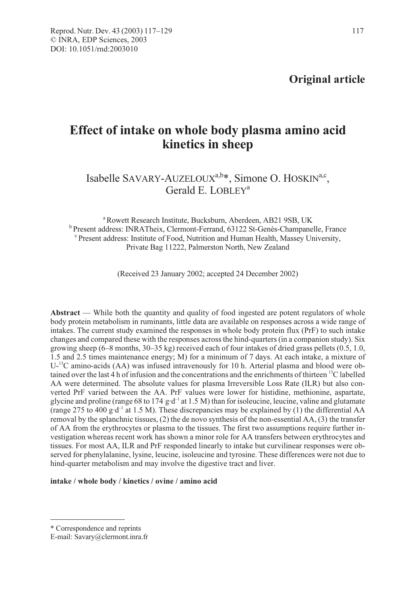Original article

# Effect of intake on whole body plasma amino acid kinetics in sheep

## Isabelle SAVARY-AUZELOUX<sup>a,b\*</sup>, Simone O. HOSKIN<sup>a,c</sup>, Gerald E. LOBLEY<sup>a</sup>

<sup>a</sup> Rowett Research Institute, Bucksburn, Aberdeen, AB21 9SB, UK <sup>b</sup> Present address: INRATheix, Clermont-Ferrand, 63122 St-Genès-Champanelle, France c Present address: Institute of Food, Nutrition and Human Health, Massey University, Private Bag 11222, Palmerston North, New Zealand

(Received 23 January 2002; accepted 24 December 2002)

Abstract — While both the quantity and quality of food ingested are potent regulators of whole body protein metabolism in ruminants, little data are available on responses across a wide range of intakes. The current study examined the responses in whole body protein flux (PrF) to such intake changes and compared these with the responses across the hind-quarters (in a companion study). Six growing sheep (6–8 months, 30–35 kg) received each of four intakes of dried grass pellets (0.5, 1.0, 1.5 and 2.5 times maintenance energy; M) for a minimum of 7 days. At each intake, a mixture of  $U^{-13}C$  amino-acids (AA) was infused intravenously for 10 h. Arterial plasma and blood were obtained over the last 4 h of infusion and the concentrations and the enrichments of thirteen 13C labelled AA were determined. The absolute values for plasma Irreversible Loss Rate (ILR) but also converted PrF varied between the AA. PrF values were lower for histidine, methionine, aspartate, glycine and proline (range 68 to 174 g·d<sup>-1</sup> at 1.5 M) than for isoleucine, leucine, valine and glutamate (range 275 to 400 g·d<sup>-1</sup> at 1.5 M). These discrepancies may be explained by (1) the differential AA removal by the splanchnic tissues, (2) the de novo synthesis of the non-essential AA, (3) the transfer of AA from the erythrocytes or plasma to the tissues. The first two assumptions require further investigation whereas recent work has shown a minor role for AA transfers between erythrocytes and tissues. For most AA, ILR and PrF responded linearly to intake but curvilinear responses were observed for phenylalanine, lysine, leucine, isoleucine and tyrosine. These differences were not due to hind-quarter metabolism and may involve the digestive tract and liver.

intake / whole body / kinetics / ovine / amino acid

<sup>\*</sup> Correspondence and reprints

E-mail: Savary@clermont.inra.fr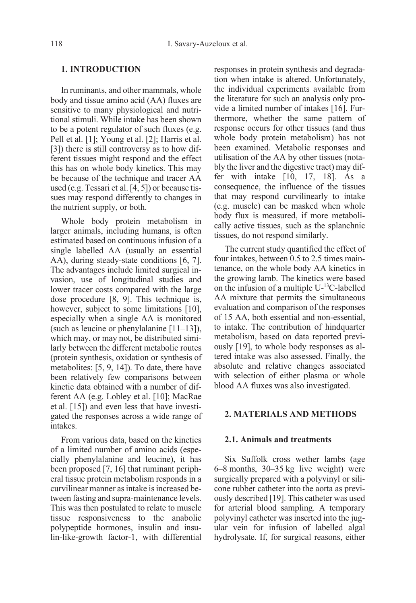### 1. INTRODUCTION

In ruminants, and other mammals, whole body and tissue amino acid (AA) fluxes are sensitive to many physiological and nutritional stimuli. While intake has been shown to be a potent regulator of such fluxes (e.g. Pell et al. [1]; Young et al. [2]; Harris et al. [3]) there is still controversy as to how different tissues might respond and the effect this has on whole body kinetics. This may be because of the technique and tracer AA used (e.g. Tessari et al. [4, 5]) or because tissues may respond differently to changes in the nutrient supply, or both.

Whole body protein metabolism in larger animals, including humans, is often estimated based on continuous infusion of a single labelled AA (usually an essential AA), during steady-state conditions [6, 7]. The advantages include limited surgical invasion, use of longitudinal studies and lower tracer costs compared with the large dose procedure [8, 9]. This technique is, however, subject to some limitations [10], especially when a single AA is monitored (such as leucine or phenylalanine [11–13]), which may, or may not, be distributed similarly between the different metabolic routes (protein synthesis, oxidation or synthesis of metabolites: [5, 9, 14]). To date, there have been relatively few comparisons between kinetic data obtained with a number of different AA (e.g. Lobley et al. [10]; MacRae et al. [15]) and even less that have investigated the responses across a wide range of intakes.

From various data, based on the kinetics of a limited number of amino acids (especially phenylalanine and leucine), it has been proposed [7, 16] that ruminant peripheral tissue protein metabolism responds in a curvilinear manner as intake is increased between fasting and supra-maintenance levels. This was then postulated to relate to muscle tissue responsiveness to the anabolic polypeptide hormones, insulin and insulin-like-growth factor-1, with differential responses in protein synthesis and degradation when intake is altered. Unfortunately, the individual experiments available from the literature for such an analysis only provide a limited number of intakes [16]. Furthermore, whether the same pattern of response occurs for other tissues (and thus whole body protein metabolism) has not been examined. Metabolic responses and utilisation of the AA by other tissues (notably the liver and the digestive tract) may differ with intake [10, 17, 18]. As a consequence, the influence of the tissues that may respond curvilinearly to intake (e.g. muscle) can be masked when whole body flux is measured, if more metabolically active tissues, such as the splanchnic tissues, do not respond similarly.

The current study quantified the effect of four intakes, between 0.5 to 2.5 times maintenance, on the whole body AA kinetics in the growing lamb. The kinetics were based on the infusion of a multiple  $U<sup>13</sup>C$ -labelled AA mixture that permits the simultaneous evaluation and comparison of the responses of 15 AA, both essential and non-essential, to intake. The contribution of hindquarter metabolism, based on data reported previously [19], to whole body responses as altered intake was also assessed. Finally, the absolute and relative changes associated with selection of either plasma or whole blood AA fluxes was also investigated.

### 2. MATERIALS AND METHODS

### 2.1. Animals and treatments

Six Suffolk cross wether lambs (age 6–8 months, 30–35 kg live weight) were surgically prepared with a polyvinyl or silicone rubber catheter into the aorta as previously described [19]. This catheter was used for arterial blood sampling. A temporary polyvinyl catheter was inserted into the jugular vein for infusion of labelled algal hydrolysate. If, for surgical reasons, either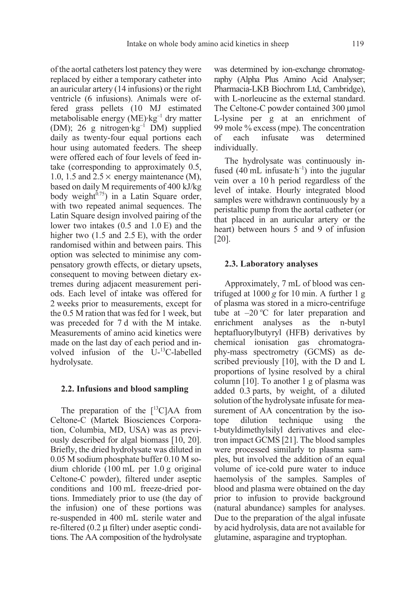of the aortal catheters lost patency they were replaced by either a temporary catheter into an auricular artery (14 infusions) or the right ventricle (6 infusions). Animals were offered grass pellets (10 MJ estimated metabolisable energy  $(ME)$ ·kg<sup>-1</sup> dry matter (DM); 26 g nitrogen·kg–1 DM) supplied daily as twenty-four equal portions each hour using automated feeders. The sheep were offered each of four levels of feed intake (corresponding to approximately 0.5, 1.0, 1.5 and  $2.5 \times$  energy maintenance (M), based on daily M requirements of 400 kJ/kg body weight $^{6.75}$ ) in a Latin Square order, with two repeated animal sequences. The Latin Square design involved pairing of the lower two intakes (0.5 and 1.0 E) and the higher two  $(1.5 \text{ and } 2.5 \text{ E})$ , with the order randomised within and between pairs. This option was selected to minimise any compensatory growth effects, or dietary upsets, consequent to moving between dietary extremes during adjacent measurement periods. Each level of intake was offered for 2 weeks prior to measurements, except for the 0.5 M ration that was fed for 1 week, but was preceded for 7 d with the M intake. Measurements of amino acid kinetics were made on the last day of each period and involved infusion of the U-13C-labelled hydrolysate.

#### 2.2. Infusions and blood sampling

The preparation of the  $[{}^{13}C]AA$  from Celtone-C (Martek Biosciences Corporation, Columbia, MD, USA) was as previously described for algal biomass [10, 20]. Briefly, the dried hydrolysate was diluted in 0.05 M sodium phosphate buffer 0.10 M sodium chloride (100 mL per 1.0 g original Celtone-C powder), filtered under aseptic conditions and 100 mL freeze-dried portions. Immediately prior to use (the day of the infusion) one of these portions was re-suspended in 400 mL sterile water and re-filtered  $(0.2 \mu)$  filter) under aseptic conditions. The AA composition of the hydrolysate was determined by ion-exchange chromatography (Alpha Plus Amino Acid Analyser; Pharmacia-LKB Biochrom Ltd, Cambridge), with L-norleucine as the external standard. The Celtone-C powder contained 300 µmol L-lysine per g at an enrichment of 99 mole % excess (mpe). The concentration of each infusate was determined individually.

The hydrolysate was continuously infused (40 mL infusate $\cdot$ h<sup>-1</sup>) into the jugular vein over a 10 h period regardless of the level of intake. Hourly integrated blood samples were withdrawn continuously by a peristaltic pump from the aortal catheter (or that placed in an auricular artery or the heart) between hours 5 and 9 of infusion [20].

#### 2.3. Laboratory analyses

Approximately, 7 mL of blood was centrifuged at  $1000 g$  for 10 min. A further 1 g of plasma was stored in a micro-centrifuge tube at  $-20$  °C for later preparation and enrichment analyses as the n-butyl heptafluorylbutyryl (HFB) derivatives by chemical ionisation gas chromatography-mass spectrometry (GCMS) as described previously [10], with the D and L proportions of lysine resolved by a chiral column [10]. To another 1 g of plasma was added 0.3 parts, by weight, of a diluted solution of the hydrolysate infusate for measurement of AA concentration by the isotope dilution technique using the t-butyldimethylsilyl derivatives and electron impact GCMS [21]. The blood samples were processed similarly to plasma samples, but involved the addition of an equal volume of ice-cold pure water to induce haemolysis of the samples. Samples of blood and plasma were obtained on the day prior to infusion to provide background (natural abundance) samples for analyses. Due to the preparation of the algal infusate by acid hydrolysis, data are not available for glutamine, asparagine and tryptophan.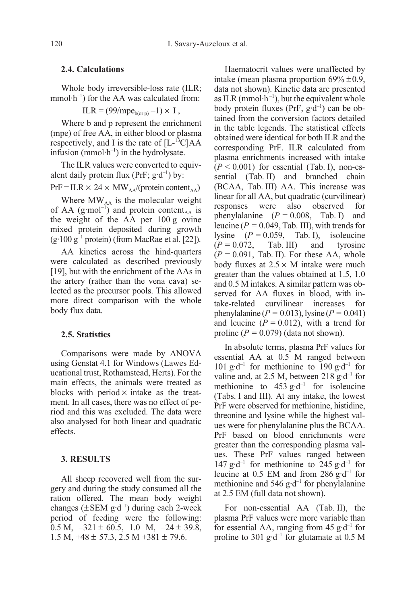### 2.4. Calculations

Whole body irreversible-loss rate (ILR; mmol $\cdot$ h<sup>-1</sup>) for the AA was calculated from:

$$
ILR = (99/mpe_{b(or p)} - 1) \times I,
$$

Where b and p represent the enrichment (mpe) of free AA, in either blood or plasma respectively, and I is the rate of  $[L^{-13}C]AA$ infusion (mmol $\cdot$ h<sup>-1</sup>) in the hydrolysate.

The ILR values were converted to equivalent daily protein flux (PrF;  $g \cdot d^{-1}$ ) by:

 $PrF = ILR \times 24 \times MW_{AA}/(protein content_{AA})$ 

Where  $MW_{AA}$  is the molecular weight of AA (g·mol<sup>-1</sup>) and protein content<sub>AA</sub> is the weight of the AA per 100 g ovine mixed protein deposited during growth  $(g.100 g<sup>-1</sup>$  protein) (from MacRae et al. [22]).

AA kinetics across the hind-quarters were calculated as described previously [19], but with the enrichment of the AAs in the artery (rather than the vena cava) selected as the precursor pools. This allowed more direct comparison with the whole body flux data.

### 2.5. Statistics

Comparisons were made by ANOVA using Genstat 4.1 for Windows (Lawes Educational trust, Rothamstead, Herts). For the main effects, the animals were treated as blocks with period  $\times$  intake as the treatment. In all cases, there was no effect of period and this was excluded. The data were also analysed for both linear and quadratic effects.

### 3. RESULTS

All sheep recovered well from the surgery and during the study consumed all the ration offered. The mean body weight changes ( $\pm$ SEM g·d<sup>-1</sup>) during each 2-week period of feeding were the following: 0.5 M,  $-321 \pm 60.5$ , 1.0 M,  $-24 \pm 39.8$ , 1.5 M,  $+48 \pm 57.3$ , 2.5 M  $+381 \pm 79.6$ .

Haematocrit values were unaffected by intake (mean plasma proportion  $69\% \pm 0.9$ , data not shown). Kinetic data are presented as ILR (mmol $\cdot$ h<sup>-1</sup>), but the equivalent whole body protein fluxes (PrF,  $g \cdot d^{-1}$ ) can be obtained from the conversion factors detailed in the table legends. The statistical effects obtained were identical for both ILR and the corresponding PrF. ILR calculated from plasma enrichments increased with intake  $(P < 0.001)$  for essential (Tab. I), non-essential (Tab. II) and branched chain (BCAA, Tab. III) AA. This increase was linear for all AA, but quadratic (curvilinear) responses were also observed for phenylalanine  $(P = 0.008, \text{ Tab. I})$  and leucine ( $P = 0.049$ , Tab. III), with trends for lysine  $(P = 0.059, \text{ Tab. I})$ , isoleucine  $(P = 0.072,$  Tab. III) and tyrosine  $(P = 0.091,$  Tab. II). For these AA, whole body fluxes at  $2.5 \times M$  intake were much greater than the values obtained at 1.5, 1.0 and 0.5 M intakes. A similar pattern was observed for AA fluxes in blood, with intake-related curvilinear increases for phenylalanine ( $P = 0.013$ ), lysine ( $P = 0.041$ ) and leucine  $(P = 0.012)$ , with a trend for proline ( $P = 0.079$ ) (data not shown).

In absolute terms, plasma PrF values for essential AA at 0.5 M ranged between 101 g·d<sup>-1</sup> for methionine to 190 g·d<sup>-1</sup> for valine and, at 2.5 M, between 218 g·d<sup>-1</sup> for methionine to  $453 \text{ g} \cdot d^{-1}$  for isoleucine (Tabs. I and III). At any intake, the lowest PrF were observed for methionine, histidine, threonine and lysine while the highest values were for phenylalanine plus the BCAA. PrF based on blood enrichments were greater than the corresponding plasma values. These PrF values ranged between 147  $g \cdot d^{-1}$  for methionine to 245  $g \cdot d^{-1}$  for leucine at 0.5 EM and from 286  $g \cdot d^{-1}$  for methionine and 546  $g \cdot d^{-1}$  for phenylalanine at 2.5 EM (full data not shown).

For non-essential AA (Tab. II), the plasma PrF values were more variable than for essential AA, ranging from 45  $g \cdot d^{-1}$  for proline to 301 g·d<sup>-1</sup> for glutamate at 0.5 M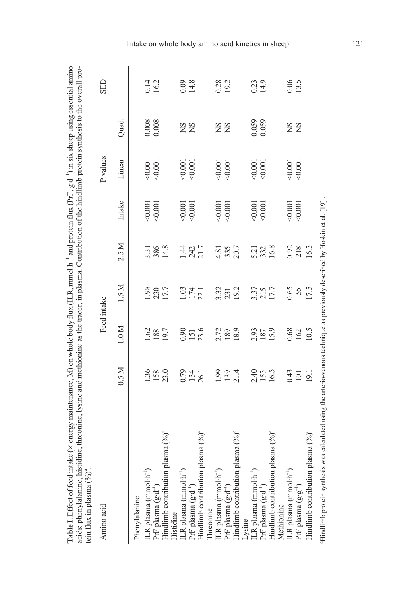| <b>CHANGE</b><br>$\sim$ 110 civ ch-<br>$\frac{1}{2}$<br>$(II, R, mmol·h^{-1}, and mation flux (PrF, or d))$<br>$\sim$ 0.1 on $\frac{1}{2}$<br>لہ دھست<br>$-1701$ energy m.<br>Σ |
|---------------------------------------------------------------------------------------------------------------------------------------------------------------------------------|
| ı<br>$\zeta$<br>nrotain aini<br>$\lceil$ agma Contribution ot<br>ויי ייי<br>$\overline{\phantom{a}}$<br>ור מחוז ספי במזורנה<br>dine<br>ÿ                                        |
|                                                                                                                                                                                 |

| tein flux in plasma $(\frac{9}{0})^n$ .                                                                                                                                                                                 |                    |                     |                       |                     |                       |                       |           |                  |
|-------------------------------------------------------------------------------------------------------------------------------------------------------------------------------------------------------------------------|--------------------|---------------------|-----------------------|---------------------|-----------------------|-----------------------|-----------|------------------|
| Amino acid                                                                                                                                                                                                              |                    | Feed intake         |                       |                     |                       | P values              |           | <b>GED</b>       |
|                                                                                                                                                                                                                         | 0.5M               | 1.0 M               | 1.5 M                 | 2.5 M               | Intake                | Linear                | Quad.     |                  |
| Phenylalanine                                                                                                                                                                                                           |                    |                     |                       |                     |                       |                       |           |                  |
| LR plasma ( $m$ nol· $h^{-1}$ )                                                                                                                                                                                         | 1.36               |                     |                       |                     |                       |                       |           |                  |
| Pr<br>F plasma $(\mathrm{g}{\cdot}\mathrm{d}^{-1})$                                                                                                                                                                     |                    | 1.62                | 1.98<br>230<br>17.7   | 3.31<br>386<br>14.8 | $-0.001$              | $\frac{0.001}{0.001}$ | 0.008     | $0.14$<br>$16.2$ |
| Hindlimb contribution plasma (%)"<br>Histidine<br>ILR plasma (mmol·h <sup>-l</sup> )<br>PrF plasma (g·d <sup>-l</sup> )                                                                                                 | 158<br>23.0        | 19.7                |                       |                     |                       |                       |           |                  |
|                                                                                                                                                                                                                         | 0.79               |                     |                       |                     |                       |                       |           |                  |
|                                                                                                                                                                                                                         | 134                | $\frac{0.90}{151}$  |                       |                     | $\frac{0.001}{0.001}$ | $\frac{0.001}{0.001}$ | <b>SS</b> | $0.09$<br>14.8   |
| Hindlimb contribution plasma (%) <sup>ª</sup>                                                                                                                                                                           | 26.1               | 23.6                | $\frac{13}{17}$       | $\frac{132}{13}$    |                       |                       |           |                  |
|                                                                                                                                                                                                                         |                    |                     |                       |                     |                       |                       |           |                  |
|                                                                                                                                                                                                                         | 1.99               |                     |                       |                     |                       |                       |           | 0.28             |
|                                                                                                                                                                                                                         |                    | 2.72<br>189         | 3.32<br>23 12<br>19 2 | 4.81<br>335<br>20.7 | $\frac{0.001}{0.001}$ | $\frac{0.001}{0.001}$ | <b>SS</b> |                  |
| Threonine<br>ILR plasma (mmol·h <sup>-l</sup> )<br>PrF plasma (g·d <sup>-l</sup> )<br>Hindlimb contribution plasma (%) <sup>ª</sup>                                                                                     | $\frac{139}{21.4}$ | 18.9                |                       |                     |                       |                       |           |                  |
|                                                                                                                                                                                                                         |                    |                     |                       |                     |                       |                       |           |                  |
|                                                                                                                                                                                                                         |                    |                     |                       |                     |                       |                       |           |                  |
|                                                                                                                                                                                                                         | 2.40<br>153        | 2.93<br>187<br>15.9 | 3.37<br>215<br>17.7   |                     | $\frac{0.001}{0.001}$ | $\frac{0.001}{0.001}$ | 0.059     | $0.23$<br>14.9   |
|                                                                                                                                                                                                                         | 16.5               |                     |                       | 523<br>322<br>16.8  |                       |                       |           |                  |
|                                                                                                                                                                                                                         |                    |                     |                       |                     |                       |                       |           |                  |
|                                                                                                                                                                                                                         | 0.43               | 0.68                |                       |                     |                       |                       |           |                  |
| Lysine<br>ILR plasma (mmol·h <sup>-1</sup> )<br>PrF plasma (g·d <sup>-1</sup> )<br>Hindlimb contribution plasma (%) <sup>4</sup><br>Methionine<br>ILR plasma (mmol·h <sup>-1</sup> )<br>PrF plasma (g·g <sup>-1</sup> ) | $\overline{101}$   | 162                 | 0.65<br>155           | 0.92<br>218<br>16.3 | $-0.001$              | $\frac{0.001}{0.001}$ | <b>SS</b> | 0.06             |
| Hindlimb contribution plasma (%) <sup>ª</sup>                                                                                                                                                                           | $\overline{19}$    | 10.5                | 17.5                  |                     |                       |                       |           |                  |
| Hindlimb protein synthesis was calculated using the arterio-venous technique as previously described by Hoskin et al. [19]                                                                                              |                    |                     |                       |                     |                       |                       |           |                  |

Intake on whole body amino acid kinetics in sheep 121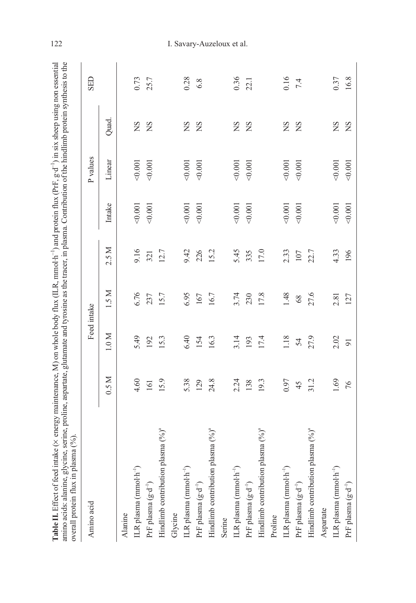| j                                                                |                                                                                                                                                                                                                                                                                                                                                                                                                                                                            |                          |
|------------------------------------------------------------------|----------------------------------------------------------------------------------------------------------------------------------------------------------------------------------------------------------------------------------------------------------------------------------------------------------------------------------------------------------------------------------------------------------------------------------------------------------------------------|--------------------------|
| $5 - 1$                                                          |                                                                                                                                                                                                                                                                                                                                                                                                                                                                            |                          |
|                                                                  |                                                                                                                                                                                                                                                                                                                                                                                                                                                                            |                          |
|                                                                  | 人名英阿尔                                                                                                                                                                                                                                                                                                                                                                                                                                                                      |                          |
|                                                                  |                                                                                                                                                                                                                                                                                                                                                                                                                                                                            |                          |
|                                                                  |                                                                                                                                                                                                                                                                                                                                                                                                                                                                            |                          |
|                                                                  |                                                                                                                                                                                                                                                                                                                                                                                                                                                                            |                          |
|                                                                  |                                                                                                                                                                                                                                                                                                                                                                                                                                                                            |                          |
| $\mathbb{R}$ or $\mathbb{R}$ or $\mathbb{R}$ to $\mathbb{R}^2$ . | $\sim$ asset of the second $\sim$                                                                                                                                                                                                                                                                                                                                                                                                                                          |                          |
|                                                                  |                                                                                                                                                                                                                                                                                                                                                                                                                                                                            |                          |
| $\ln v$ (PrF $\sigma$ .                                          |                                                                                                                                                                                                                                                                                                                                                                                                                                                                            |                          |
|                                                                  |                                                                                                                                                                                                                                                                                                                                                                                                                                                                            |                          |
|                                                                  |                                                                                                                                                                                                                                                                                                                                                                                                                                                                            |                          |
|                                                                  | locmo I antribution of                                                                                                                                                                                                                                                                                                                                                                                                                                                     |                          |
|                                                                  |                                                                                                                                                                                                                                                                                                                                                                                                                                                                            |                          |
| $\frac{1}{2}$                                                    |                                                                                                                                                                                                                                                                                                                                                                                                                                                                            |                          |
| l                                                                | i<br>1                                                                                                                                                                                                                                                                                                                                                                                                                                                                     |                          |
| $\overline{AB}$ P mmolin <sup>-1</sup> ) and                     |                                                                                                                                                                                                                                                                                                                                                                                                                                                                            |                          |
|                                                                  | j                                                                                                                                                                                                                                                                                                                                                                                                                                                                          |                          |
|                                                                  | T                                                                                                                                                                                                                                                                                                                                                                                                                                                                          |                          |
|                                                                  |                                                                                                                                                                                                                                                                                                                                                                                                                                                                            |                          |
|                                                                  |                                                                                                                                                                                                                                                                                                                                                                                                                                                                            |                          |
|                                                                  |                                                                                                                                                                                                                                                                                                                                                                                                                                                                            |                          |
| Ş                                                                |                                                                                                                                                                                                                                                                                                                                                                                                                                                                            |                          |
| $\alpha$ maintenance $M$ on $\alpha$                             | $\sim$ $\sim$ $\sim$ $\sim$                                                                                                                                                                                                                                                                                                                                                                                                                                                |                          |
|                                                                  |                                                                                                                                                                                                                                                                                                                                                                                                                                                                            |                          |
|                                                                  |                                                                                                                                                                                                                                                                                                                                                                                                                                                                            |                          |
|                                                                  | $\frac{1}{2} \left( \frac{1}{2} \right) \left( \frac{1}{2} \right) \left( \frac{1}{2} \right) \left( \frac{1}{2} \right) \left( \frac{1}{2} \right) \left( \frac{1}{2} \right) \left( \frac{1}{2} \right) \left( \frac{1}{2} \right) \left( \frac{1}{2} \right) \left( \frac{1}{2} \right) \left( \frac{1}{2} \right) \left( \frac{1}{2} \right) \left( \frac{1}{2} \right) \left( \frac{1}{2} \right) \left( \frac{1}{2} \right) \left( \frac{1}{2} \right) \left( \frac$ |                          |
|                                                                  | ۔<br>م                                                                                                                                                                                                                                                                                                                                                                                                                                                                     |                          |
|                                                                  |                                                                                                                                                                                                                                                                                                                                                                                                                                                                            |                          |
| j                                                                |                                                                                                                                                                                                                                                                                                                                                                                                                                                                            |                          |
| .<br>5<br>5<br>5<br>5<br>.                                       |                                                                                                                                                                                                                                                                                                                                                                                                                                                                            | $\overline{\phantom{0}}$ |
| rala VIA                                                         | ne se<br>i<br>E                                                                                                                                                                                                                                                                                                                                                                                                                                                            |                          |
|                                                                  |                                                                                                                                                                                                                                                                                                                                                                                                                                                                            | ma                       |
|                                                                  |                                                                                                                                                                                                                                                                                                                                                                                                                                                                            |                          |
|                                                                  | $\ddot{\phantom{a}}$                                                                                                                                                                                                                                                                                                                                                                                                                                                       |                          |
|                                                                  | $\frac{1}{2}$                                                                                                                                                                                                                                                                                                                                                                                                                                                              |                          |
|                                                                  |                                                                                                                                                                                                                                                                                                                                                                                                                                                                            | Í                        |
| トーン・コンピューター                                                      |                                                                                                                                                                                                                                                                                                                                                                                                                                                                            |                          |
|                                                                  |                                                                                                                                                                                                                                                                                                                                                                                                                                                                            |                          |

| Amino acid                                                                 |      | Feed intake    |        |       |        | P values |        | <b>GED</b> |
|----------------------------------------------------------------------------|------|----------------|--------|-------|--------|----------|--------|------------|
|                                                                            | 0.5M | $1.0 M$        | 1.5 M  | 2.5 M | Intake | Linear   | Quad.  |            |
| Alanine                                                                    |      |                |        |       |        |          |        |            |
| $ILR$ plasma (mmol $\cdot h^{-1}$ )                                        | 4.60 | 5.49           | 6.76   | 9.16  | 0.001  | 0.001    | ΧŠ     | 0.73       |
| PrF plasma $(g \cdot d^{-1})$                                              | 161  | 192            | 237    | 321   | 0.001  | 0.001    | SN     | 25.7       |
| Hindlimb contribution plasma (%) <sup>ª</sup>                              | 15.9 | 15.3           | 15.7   | 12.7  |        |          |        |            |
| Glycine                                                                    |      |                |        |       |        |          |        |            |
| ILR plasma ( $mmol·h-1$ )                                                  | 5.38 | 6.40           | 6.95   | 9.42  | 0.001  | 0.001    | SN     | 0.28       |
| Pr<br>F plasma $(\mathrm{g\cdot d}^{-1})$                                  | 129  | 154            | 167    | 226   | 0.001  | 0.001    | SN     | 6.8        |
| Hindlimb contribution plasma (%) <sup>ª</sup>                              | 24.8 | 16.3           | 16.7   | 15.2  |        |          |        |            |
| Serine                                                                     |      |                |        |       |        |          |        |            |
| ILR plasma (mmol·h <sup>-1</sup> )                                         | 2.24 | 3.14           | 3.74   | 5.45  | 0.001  | 0.001    | SN     | 0.36       |
| Pr<br>F plasma $(\mathbf{g}\!\cdot\!\mathbf{d}^{-\!1})$                    | 138  | 193            | 230    | 335   | 0.001  | 0.001    | SN     | 22.1       |
| Hindlimb contribution plasma (%) <sup>ª</sup>                              | 19.3 | 17.4           | 17.8   | 17.0  |        |          |        |            |
| Proline                                                                    |      |                |        |       |        |          |        |            |
| ILR plasma $(mmol \cdot h^{-1})$                                           | 0.97 | 1.18           | 1.48   | 2.33  | 0.001  | 0.001    | SN     | 0.16       |
| PrF plasma (g·d <sup>-1</sup> )                                            | 45   | 54             | $68\,$ | 107   | 0.001  | 0.001    | SN     | 7.4        |
| Hindlimb contribution plasma $(96)^a$                                      | 31.2 | 27.9           | 27.6   | 22.7  |        |          |        |            |
| Aspartate                                                                  |      |                |        |       |        |          |        |            |
| $ILR$ plasma (mmol $\cdot h^{-1}$ )                                        | 1.69 | 2.02           | 2.81   | 4.33  | 0.001  | 0.001    | $^{2}$ | 0.37       |
| Pr<br>F plasma $(\mathbf{g}\!\cdot\!\mathbf{d}^{\neg\!\top\!\!\!\!\cdot})$ | 76   | $\overline{9}$ | 127    | 196   | 0.001  | 0.001    | SN     | 16.8       |

### 122 I. Savary-Auzeloux et al.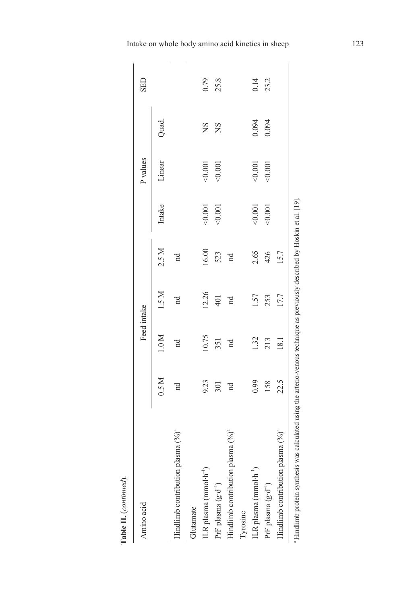| Amino acid                                    |             | Feed intake |             |             |        | P values |           | <b>SED</b> |
|-----------------------------------------------|-------------|-------------|-------------|-------------|--------|----------|-----------|------------|
|                                               | 0.5 M       | 1.0 M       | 1.5 M       | 2.5 M       | Intake | Linear   | Quad.     |            |
| Hindlimb contribution plasma $(% ^{6})^{a}$   | $_{\rm nd}$ | Pu          | $_{\rm nd}$ | $_{\rm nd}$ |        |          |           |            |
| Glutamate                                     |             |             |             |             |        |          |           |            |
| ILR plasma (mmol·h <sup>-1</sup> )            | 9.23        | 10.75       | 12.26       | 16.00       | 0.001  | 0.001    | <b>SN</b> | 0.79       |
| Pr<br>F plasma $(g{\cdot}d^{-1})$             | 301         | 351         | 401         | 523         | 0.001  | 0.001    | <b>SN</b> | 25.8       |
| Hindlimb contribution plasma (%) <sup>ª</sup> | $_{\rm nd}$ | $_{\rm nd}$ | $_{\rm nd}$ | $_{\rm nd}$ |        |          |           |            |
| Tyrosine                                      |             |             |             |             |        |          |           |            |
| ILR plasma (mmol·h <sup>-1</sup> )            | 0.99        | 1.32        | 1.57        | 2.65        | 0.001  | 0.001    | 0.094     | 0.14       |
| PrF plasma (g·d <sup>-1</sup> )               | 158         | 213         | 253         | 426         | 0.001  | 0.001    | 0.094     | 23.2       |
| Hindlimb contribution plasma (%) <sup>ª</sup> | 22.5        | 18.1        | 17.7        | 15.7        |        |          |           |            |

 $\label{eq:tableI} \begin{aligned} \textbf{Table II.}~(continued). \end{aligned}$ Table II. (continued).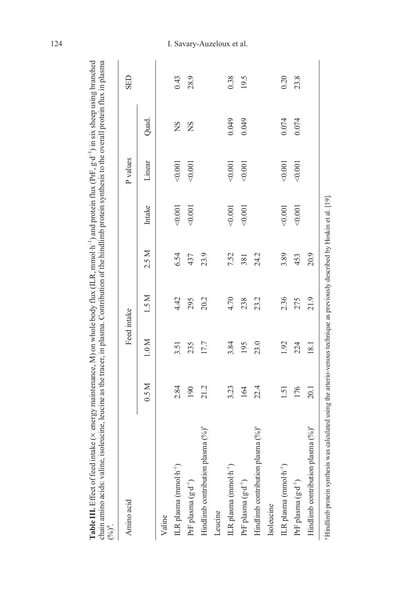| Amino acid                                    |       | Feed intake |       |       |         | P values |       | <b>GED</b> |
|-----------------------------------------------|-------|-------------|-------|-------|---------|----------|-------|------------|
|                                               | 0.5 M | $1.0 M$     | 1.5 M | 2.5 M | Intake  | Linear   | Quad. |            |
| Valine                                        |       |             |       |       |         |          |       |            |
| ILR plasma (mmol·h <sup>-1</sup> )            | 2.84  | 3.51        | 4.42  | 6.54  | 0.001   | < 0.001  | ΧS    | 0.43       |
| PrF plasma (g·d <sup>-1</sup> )               | 190   | 235         | 295   | 437   | < 0.001 | 0.001    | SN    | 28.9       |
| Hindlimb contribution plasma $(% ^{6})^{a}$   | 21.2  | 17.7        | 20.2  | 23.9  |         |          |       |            |
| Leucine                                       |       |             |       |       |         |          |       |            |
| ILR plasma (mmol·h <sup>-1</sup> )            | 3.23  | 3.84        | 4.70  | 7.52  | 40.001  | < 0.001  | 0.049 | 0.38       |
| PrF plasma (g·d <sup>-1</sup> )               | 164   | 195         | 238   | 381   | 0.001   | < 0.001  | 0.049 | 19.5       |
| Hindlimb contribution plasma $(96)^a$         | 22.4  | 23.0        | 23.2  | 24.2  |         |          |       |            |
| Isoleucine                                    |       |             |       |       |         |          |       |            |
| ILR plasma (mmol·h <sup>-1</sup> )            | 1.51  | 1.92        | 2.36  | 3.89  | 40.001  | 0.001    | 0.074 | 0.20       |
| PrF plasma (g·d <sup>-1</sup> )               | 176   | 224         | 275   | 453   | 0.001   | 0.001    | 0.074 | 23.8       |
| Hindlimb contribution plasma (%) <sup>ª</sup> | 20.1  | 18.1        | 21.9  | 20.9  |         |          |       |            |

## 124 I. Savary-Auzeloux et al.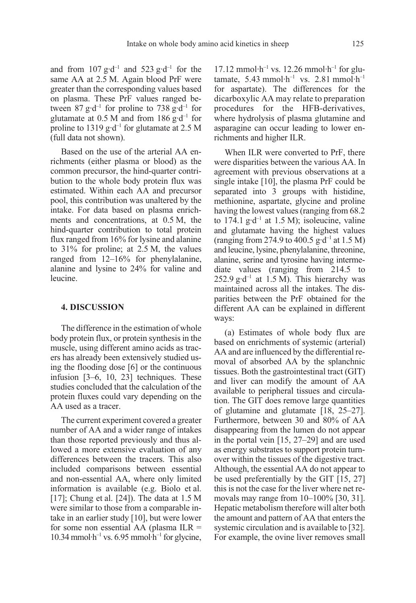and from  $107$  g·d<sup>-1</sup> and  $523$  g·d<sup>-1</sup> for the same AA at  $2.5$  M. Again blood PrF were greater than the corresponding values based on plasma. These PrF values ranged between 87 g·d<sup>-1</sup> for proline to 738 g·d<sup>-1</sup> for glutamate at 0.5 M and from 186 g·d<sup>-1</sup> for proline to 1319 g·d<sup>-1</sup> for glutamate at 2.5 M (full data not shown).

Based on the use of the arterial AA enrichments (either plasma or blood) as the common precursor, the hind-quarter contribution to the whole body protein flux was estimated. Within each AA and precursor pool, this contribution was unaltered by the intake. For data based on plasma enrichments and concentrations, at 0.5 M, the hind-quarter contribution to total protein flux ranged from 16% for lysine and alanine to 31% for proline; at 2.5 M, the values ranged from 12–16% for phenylalanine, alanine and lysine to 24% for valine and leucine.

### 4. DISCUSSION

The difference in the estimation of whole body protein flux, or protein synthesis in the muscle, using different amino acids as tracers has already been extensively studied using the flooding dose [6] or the continuous infusion [3–6, 10, 23] techniques. These studies concluded that the calculation of the protein fluxes could vary depending on the AA used as a tracer.

The current experiment covered a greater number of AA and a wider range of intakes than those reported previously and thus allowed a more extensive evaluation of any differences between the tracers. This also included comparisons between essential and non-essential AA, where only limited information is available (e.g. Biolo et al. [17]; Chung et al. [24]). The data at 1.5 M were similar to those from a comparable intake in an earlier study [10], but were lower for some non essential AA (plasma  $ILR =$ 10.34 mmol·h<sup>-1</sup> vs. 6.95 mmol·h<sup>-1</sup> for glycine,

 $17.12$  mmol·h<sup>-1</sup> vs.  $12.26$  mmol·h<sup>-1</sup> for glutamate, 5.43 mmol·h<sup>-1</sup> vs. 2.81 mmol·h<sup>-1</sup> for aspartate). The differences for the dicarboxylic AA may relate to preparation procedures for the HFB-derivatives, where hydrolysis of plasma glutamine and asparagine can occur leading to lower enrichments and higher ILR.

When ILR were converted to PrF, there were disparities between the various AA. In agreement with previous observations at a single intake [10], the plasma PrF could be separated into 3 groups with histidine, methionine, aspartate, glycine and proline having the lowest values (ranging from 68.2 to 174.1 g·d<sup>-1</sup> at 1.5 M); isoleucine, valine and glutamate having the highest values (ranging from 274.9 to 400.5  $g \cdot d^{-1}$  at 1.5 M) and leucine, lysine, phenylalanine, threonine, alanine, serine and tyrosine having intermediate values (ranging from 214.5 to 252.9 g·d<sup>-1</sup> at 1.5 M). This hierarchy was maintained across all the intakes. The disparities between the PrF obtained for the different AA can be explained in different ways:

(a) Estimates of whole body flux are based on enrichments of systemic (arterial) AA and are influenced by the differential removal of absorbed AA by the splanchnic tissues. Both the gastrointestinal tract (GIT) and liver can modify the amount of AA available to peripheral tissues and circulation. The GIT does remove large quantities of glutamine and glutamate [18, 25–27]. Furthermore, between 30 and 80% of AA disappearing from the lumen do not appear in the portal vein [15, 27–29] and are used as energy substrates to support protein turnover within the tissues of the digestive tract. Although, the essential AA do not appear to be used preferentially by the GIT [15, 27] this is not the case for the liver where net removals may range from 10–100% [30, 31]. Hepatic metabolism therefore will alter both the amount and pattern of AA that enters the systemic circulation and is available to [32]. For example, the ovine liver removes small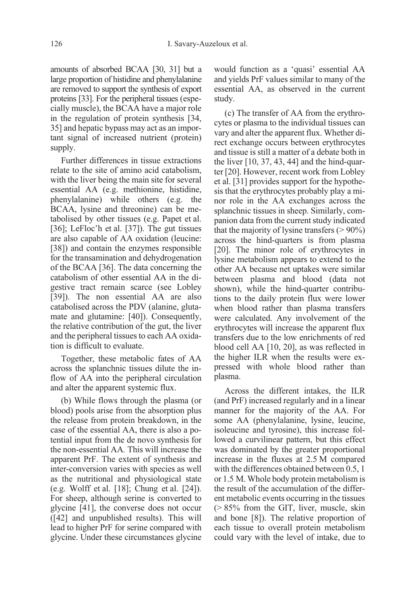amounts of absorbed BCAA [30, 31] but a large proportion of histidine and phenylalanine are removed to support the synthesis of export proteins [33]. For the peripheral tissues (especially muscle), the BCAA have a major role in the regulation of protein synthesis [34, 35] and hepatic bypass may act as an important signal of increased nutrient (protein) supply.

Further differences in tissue extractions relate to the site of amino acid catabolism, with the liver being the main site for several essential AA (e.g. methionine, histidine, phenylalanine) while others (e.g. the BCAA, lysine and threonine) can be metabolised by other tissues (e.g. Papet et al. [36]; LeFloc'h et al. [37]). The gut tissues are also capable of AA oxidation (leucine: [38]) and contain the enzymes responsible for the transamination and dehydrogenation of the BCAA [36]. The data concerning the catabolism of other essential AA in the digestive tract remain scarce (see Lobley [39]). The non essential AA are also catabolised across the PDV (alanine, glutamate and glutamine: [40]). Consequently, the relative contribution of the gut, the liver and the peripheral tissues to each AA oxidation is difficult to evaluate.

Together, these metabolic fates of AA across the splanchnic tissues dilute the inflow of AA into the peripheral circulation and alter the apparent systemic flux.

(b) While flows through the plasma (or blood) pools arise from the absorption plus the release from protein breakdown, in the case of the essential AA, there is also a potential input from the de novo synthesis for the non-essential AA. This will increase the apparent PrF. The extent of synthesis and inter-conversion varies with species as well as the nutritional and physiological state (e.g. Wolff et al. [18]; Chung et al. [24]). For sheep, although serine is converted to glycine [41], the converse does not occur ([42] and unpublished results). This will lead to higher PrF for serine compared with glycine. Under these circumstances glycine would function as a 'quasi' essential AA and yields PrF values similar to many of the essential AA, as observed in the current study.

(c) The transfer of AA from the erythrocytes or plasma to the individual tissues can vary and alter the apparent flux. Whether direct exchange occurs between erythrocytes and tissue is still a matter of a debate both in the liver [10, 37, 43, 44] and the hind-quarter [20]. However, recent work from Lobley et al. [31] provides support for the hypothesis that the erythrocytes probably play a minor role in the AA exchanges across the splanchnic tissues in sheep. Similarly, companion data from the current study indicated that the majority of lysine transfers  $(> 90\%)$ across the hind-quarters is from plasma [20]. The minor role of erythrocytes in lysine metabolism appears to extend to the other AA because net uptakes were similar between plasma and blood (data not shown), while the hind-quarter contributions to the daily protein flux were lower when blood rather than plasma transfers were calculated. Any involvement of the erythrocytes will increase the apparent flux transfers due to the low enrichments of red blood cell AA [10, 20], as was reflected in the higher ILR when the results were expressed with whole blood rather than plasma.

Across the different intakes, the ILR (and PrF) increased regularly and in a linear manner for the majority of the AA. For some AA (phenylalanine, lysine, leucine, isoleucine and tyrosine), this increase followed a curvilinear pattern, but this effect was dominated by the greater proportional increase in the fluxes at 2.5 M compared with the differences obtained between 0.5, 1 or 1.5 M. Whole body protein metabolism is the result of the accumulation of the different metabolic events occurring in the tissues (> 85% from the GIT, liver, muscle, skin and bone [8]). The relative proportion of each tissue to overall protein metabolism could vary with the level of intake, due to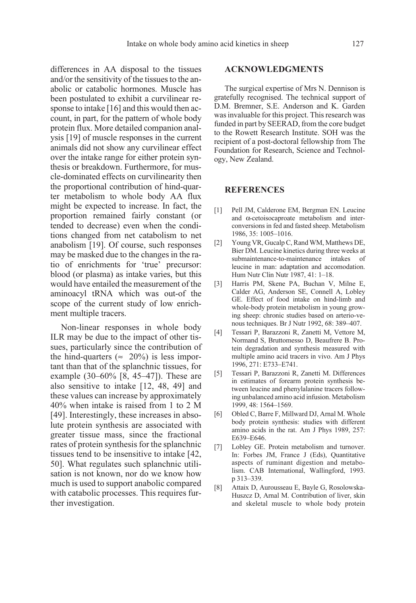differences in AA disposal to the tissues and/or the sensitivity of the tissues to the anabolic or catabolic hormones. Muscle has been postulated to exhibit a curvilinear response to intake [16] and this would then account, in part, for the pattern of whole body protein flux. More detailed companion analysis [19] of muscle responses in the current animals did not show any curvilinear effect over the intake range for either protein synthesis or breakdown. Furthermore, for muscle-dominated effects on curvilinearity then the proportional contribution of hind-quarter metabolism to whole body AA flux might be expected to increase. In fact, the proportion remained fairly constant (or tended to decrease) even when the conditions changed from net catabolism to net anabolism [19]. Of course, such responses may be masked due to the changes in the ratio of enrichments for 'true' precursor: blood (or plasma) as intake varies, but this would have entailed the measurement of the aminoacyl tRNA which was out-of the scope of the current study of low enrichment multiple tracers.

Non-linear responses in whole body ILR may be due to the impact of other tissues, particularly since the contribution of the hind-quarters ( $\approx$  20%) is less important than that of the splanchnic tissues, for example (30–60% [8, 45–47]). These are also sensitive to intake [12, 48, 49] and these values can increase by approximately 40% when intake is raised from 1 to 2 M [49]. Interestingly, these increases in absolute protein synthesis are associated with greater tissue mass, since the fractional rates of protein synthesis for the splanchnic tissues tend to be insensitive to intake [42, 50]. What regulates such splanchnic utilisation is not known, nor do we know how much is used to support anabolic compared with catabolic processes. This requires further investigation.

### ACKNOWLEDGMENTS

The surgical expertise of Mrs N. Dennison is gratefully recognised. The technical support of D.M. Bremner, S.E. Anderson and K. Garden was invaluable for this project. This research was funded in part by SEERAD, from the core budget to the Rowett Research Institute. SOH was the recipient of a post-doctoral fellowship from The Foundation for Research, Science and Technology, New Zealand.

### REFERENCES

- [1] Pell JM, Calderone EM, Bergman EN. Leucine and α-cetoisocaproate metabolism and interconversions in fed and fasted sheep. Metabolism 1986, 35: 1005–1016.
- [2] Young VR, Gucalp C, Rand WM, Matthews DE, Bier DM. Leucine kinetics during three weeks at submaintenance-to-maintenance intakes of leucine in man: adaptation and accomodation. Hum Nutr Clin Nutr 1987, 41: 1–18.
- [3] Harris PM, Skene PA, Buchan V, Milne E, Calder AG, Anderson SE, Connell A, Lobley GE. Effect of food intake on hind-limb and whole-body protein metabolism in young growing sheep: chronic studies based on arterio-venous techniques. Br J Nutr 1992, 68: 389–407.
- [4] Tessari P, Barazzoni R, Zanetti M, Vettore M, Normand S, Bruttomesso D, Beaufrere B. Protein degradation and synthesis measured with multiple amino acid tracers in vivo. Am J Phys 1996, 271: E733–E741.
- [5] Tessari P, Barazzoni R, Zanetti M. Differences in estimates of forearm protein synthesis between leucine and phenylalanine tracers following unbalanced amino acid infusion. Metabolism 1999, 48: 1564–1569.
- [6] Obled C, Barre F, Millward DJ, Arnal M. Whole body protein synthesis: studies with different amino acids in the rat. Am J Phys 1989, 257: E639–E646.
- [7] Lobley GE. Protein metabolism and turnover. In: Forbes JM, France J (Eds), Quantitative aspects of ruminant digestion and metabolism. CAB International, Wallingford, 1993. p 313–339.
- [8] Attaix D, Aurousseau E, Bayle G, Rosolowska-Huszcz D, Arnal M. Contribution of liver, skin and skeletal muscle to whole body protein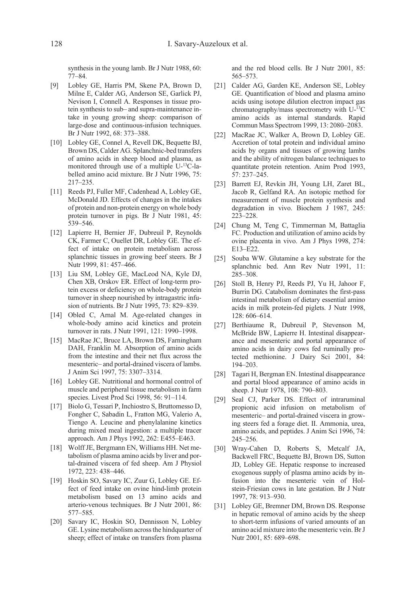synthesis in the young lamb. Br J Nutr 1988, 60: 77–84.

- [9] Lobley GE, Harris PM, Skene PA, Brown D, Milne E, Calder AG, Anderson SE, Garlick PJ, Nevison I, Connell A. Responses in tissue protein synthesis to sub– and supra-maintenance intake in young growing sheep: comparison of large-dose and continuous-infusion techniques. Br J Nutr 1992, 68: 373–388.
- [10] Lobley GE, Connel A, Revell DK, Bequette BJ, Brown DS, Calder AG. Splanchnic-bed transfers of amino acids in sheep blood and plasma, as monitored through use of a multiple U-13C-labelled amino acid mixture. Br J Nutr 1996, 75: 217–235.
- [11] Reeds PJ, Fuller MF, Cadenhead A, Lobley GE, McDonald JD. Effects of changes in the intakes of protein and non-protein energy on whole body protein turnover in pigs. Br J Nutr 1981, 45: 539–546.
- [12] Lapierre H, Bernier JF, Dubreuil P, Reynolds CK, Farmer C, Ouellet DR, Lobley GE. The effect of intake on protein metabolism across splanchnic tissues in growing beef steers. Br J Nutr 1999, 81: 457–466.
- [13] Liu SM, Lobley GE, MacLeod NA, Kyle DJ, Chen XB, Orskov ER. Effect of long-term protein excess or deficiency on whole-body protein turnover in sheep nourished by intragastric infusion of nutrients. Br J Nutr 1995, 73: 829–839.
- [14] Obled C, Arnal M. Age-related changes in whole-body amino acid kinetics and protein turnover in rats. J Nutr 1991, 121: 1990–1998.
- [15] MacRae JC, Bruce LA, Brown DS, Farningham DAH, Franklin M. Absorption of amino acids from the intestine and their net flux across the mesenteric– and portal-drained viscera of lambs. J Anim Sci 1997, 75: 3307–3314.
- [16] Lobley GE. Nutritional and hormonal control of muscle and peripheral tissue metabolism in farm species. Livest Prod Sci 1998, 56: 91–114.
- [17] Biolo G, Tessari P, Inchiostro S, Bruttomesso D, Fongher C, Sabadin L, Fratton MG, Valerio A, Tiengo A. Leucine and phenylalanine kinetics during mixed meal ingestion: a multiple tracer approach. Am J Phys 1992, 262: E455–E463.
- [18] Wolff JE, Bergmann EN, Williams HH. Net metabolism of plasma amino acids by liver and portal-drained viscera of fed sheep. Am J Physiol 1972, 223: 438–446.
- [19] Hoskin SO, Savary IC, Zuur G, Lobley GE. Effect of feed intake on ovine hind-limb protein metabolism based on 13 amino acids and arterio-venous techniques. Br J Nutr 2001, 86: 577–585.
- [20] Savary IC, Hoskin SO, Dennisson N, Lobley GE. Lysine metabolism across the hindquarter of sheep; effect of intake on transfers from plasma

and the red blood cells. Br J Nutr 2001, 85: 565–573.

- [21] Calder AG, Garden KE, Anderson SE, Lobley GE. Quantification of blood and plasma amino acids using isotope dilution electron impact gas chromatography/mass spectrometry with U-13C amino acids as internal standards. Rapid Commun Mass Spectrom 1999, 13: 2080–2083.
- [22] MacRae JC, Walker A, Brown D, Lobley GE. Accretion of total protein and individual amino acids by organs and tissues of growing lambs and the ability of nitrogen balance techniques to quantitate protein retention. Anim Prod 1993, 57: 237–245.
- [23] Barrett EJ, Revkin JH, Young LH, Zaret BL, Jacob R, Gelfand RA. An isotopic method for measurement of muscle protein synthesis and degradation in vivo. Biochem J 1987, 245: 223–228.
- [24] Chung M, Teng C, Timmerman M, Battaglia FC. Production and utilization of amino acids by ovine placenta in vivo. Am J Phys 1998, 274: E13–E22.
- [25] Souba WW. Glutamine a key substrate for the splanchnic bed. Ann Rev Nutr 1991, 11: 285–308.
- [26] Stoll B, Henry PJ, Reeds PJ, Yu H, Jahoor F, Burrin DG. Catabolism dominates the first-pass intestinal metabolism of dietary essential amino acids in milk protein-fed piglets. J Nutr 1998, 128: 606–614.
- [27] Berthiaume R, Dubreuil P, Stevenson M, McBride BW, Lapierre H. Intestinal disappearance and mesenteric and portal appearance of amino acids in dairy cows fed ruminally protected methionine. J Dairy Sci 2001, 84: 194–203.
- [28] Tagari H, Bergman EN. Intestinal disappearance and portal blood appearance of amino acids in sheep. J Nutr 1978, 108: 790–803.
- [29] Seal CJ, Parker DS. Effect of intraruminal propionic acid infusion on metabolism of mesenteric– and portal-drained viscera in growing steers fed a forage diet. II. Ammonia, urea, amino acids, and peptides. J Anim Sci 1996, 74: 245–256.
- [30] Wray-Cahen D, Roberts S, Metcalf JA, Backwell FRC, Bequette BJ, Brown DS, Sutton JD, Lobley GE. Hepatic response to increased exogenous supply of plasma amino acids by infusion into the mesenteric vein of Holstein-Friesian cows in late gestation. Br J Nutr 1997, 78: 913–930.
- [31] Lobley GE, Bremner DM, Brown DS. Response in hepatic removal of amino acids by the sheep to short-term infusions of varied amounts of an amino acid mixture into the mesenteric vein. Br J Nutr 2001, 85: 689–698.